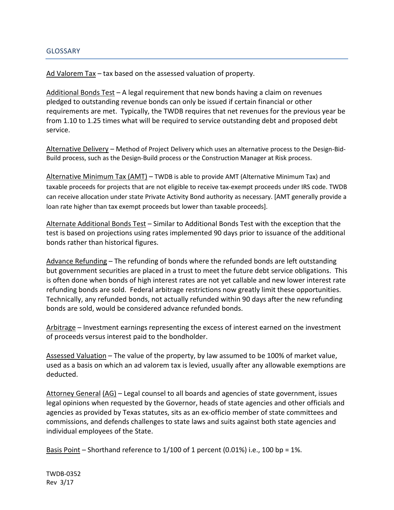## GLOSSARY

Ad Valorem Tax – tax based on the assessed valuation of property.

Additional Bonds Test – A legal requirement that new bonds having a claim on revenues pledged to outstanding revenue bonds can only be issued if certain financial or other requirements are met. Typically, the TWDB requires that net revenues for the previous year be from 1.10 to 1.25 times what will be required to service outstanding debt and proposed debt service.

Alternative Delivery – Method of Project Delivery which uses an alternative process to the Design-Bid-Build process, such as the Design-Build process or the Construction Manager at Risk process.

Alternative Minimum Tax (AMT) – TWDB is able to provide AMT (Alternative Minimum Tax) and taxable proceeds for projects that are not eligible to receive tax-exempt proceeds under IRS code. TWDB can receive allocation under state Private Activity Bond authority as necessary. [AMT generally provide a loan rate higher than tax exempt proceeds but lower than taxable proceeds].

Alternate Additional Bonds Test – Similar to Additional Bonds Test with the exception that the test is based on projections using rates implemented 90 days prior to issuance of the additional bonds rather than historical figures.

Advance Refunding – The refunding of bonds where the refunded bonds are left outstanding but government securities are placed in a trust to meet the future debt service obligations. This is often done when bonds of high interest rates are not yet callable and new lower interest rate refunding bonds are sold. Federal arbitrage restrictions now greatly limit these opportunities. Technically, any refunded bonds, not actually refunded within 90 days after the new refunding bonds are sold, would be considered advance refunded bonds.

Arbitrage – Investment earnings representing the excess of interest earned on the investment of proceeds versus interest paid to the bondholder.

Assessed Valuation – The value of the property, by law assumed to be 100% of market value, used as a basis on which an ad valorem tax is levied, usually after any allowable exemptions are deducted.

Attorney General (AG) – Legal counsel to all boards and agencies of state government, issues legal opinions when requested by the Governor, heads of state agencies and other officials and agencies as provided by Texas statutes, sits as an ex-officio member of state committees and commissions, and defends challenges to state laws and suits against both state agencies and individual employees of the State.

Basis Point – Shorthand reference to  $1/100$  of 1 percent (0.01%) i.e., 100 bp = 1%.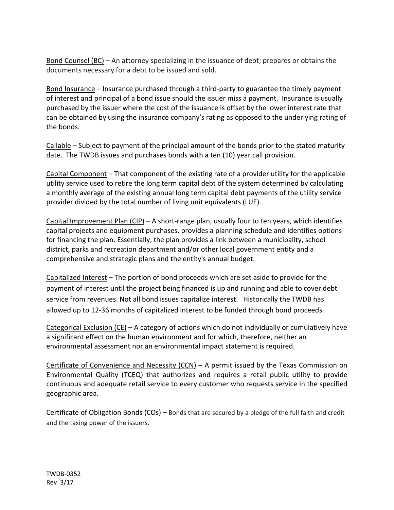Bond Counsel (BC) – An attorney specializing in the issuance of debt; prepares or obtains the documents necessary for a debt to be issued and sold.

Bond Insurance – Insurance purchased through a third-party to guarantee the timely payment of interest and principal of a bond issue should the issuer miss a payment. Insurance is usually purchased by the issuer where the cost of the issuance is offset by the lower interest rate that can be obtained by using the insurance company's rating as opposed to the underlying rating of the bonds.

Callable – Subject to payment of the principal amount of the bonds prior to the stated maturity date. The TWDB issues and purchases bonds with a ten (10) year call provision.

Capital Component – That component of the existing rate of a provider utility for the applicable utility service used to retire the long term capital debt of the system determined by calculating a monthly average of the existing annual long term capital debt payments of the utility service provider divided by the total number of living unit equivalents (LUE).

Capital Improvement Plan (CIP) – A short-range plan, usually four to ten years, which identifies capital projects and equipment purchases, provides a planning schedule and identifies options for financing the plan. Essentially, the plan provides a link between a municipality, school district, parks and recreation department and/or other local government entity and a comprehensive and strategic plans and the entity's annual budget.

Capitalized Interest – The portion of bond proceeds which are set aside to provide for the payment of interest until the project being financed is up and running and able to cover debt service from revenues. Not all bond issues capitalize interest. Historically the TWDB has allowed up to 12-36 months of capitalized interest to be funded through bond proceeds.

Categorical Exclusion (CE) – A category of actions which do not individually or cumulatively have a significant effect on the human environment and for which, therefore, neither an environmental assessment nor an environmental impact statement is required.

Certificate of Convenience and Necessity (CCN) – A permit issued by the Texas Commission on Environmental Quality (TCEQ) that authorizes and requires a retail public utility to provide continuous and adequate retail service to every customer who requests service in the specified geographic area.

Certificate of Obligation Bonds (COs) – Bonds that are secured by a pledge of the full faith and credit and the taxing power of the issuers.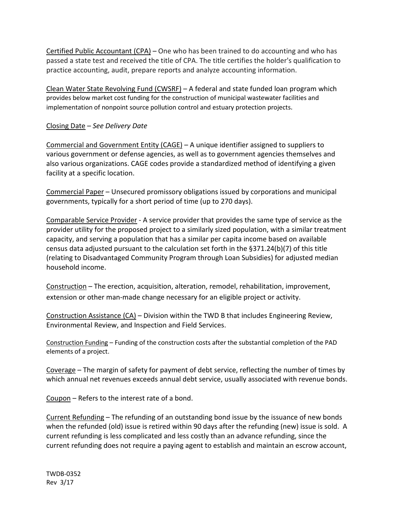Certified Public Accountant (CPA) – One who has been trained to do accounting and who has passed a state test and received the title of CPA. The title certifies the holder's qualification to practice accounting, audit, prepare reports and analyze accounting information.

Clean Water State Revolving Fund (CWSRF) – A federal and state funded loan program which provides below market cost funding for the construction of municipal wastewater facilities and implementation of nonpoint source pollution control and estuary protection projects.

## Closing Date – *See Delivery Date*

Commercial and Government Entity (CAGE) – A unique identifier assigned to suppliers to various government or defense agencies, as well as to government agencies themselves and also various organizations. CAGE codes provide a standardized method of identifying a given facility at a specific location.

Commercial Paper – Unsecured promissory obligations issued by corporations and municipal governments, typically for a short period of time (up to 270 days).

Comparable Service Provider - A service provider that provides the same type of service as the provider utility for the proposed project to a similarly sized population, with a similar treatment capacity, and serving a population that has a similar per capita income based on available census data adjusted pursuant to the calculation set forth in the §371.24(b)(7) of this title (relating to Disadvantaged Community Program through Loan Subsidies) for adjusted median household income.

Construction – The erection, acquisition, alteration, remodel, rehabilitation, improvement, extension or other man-made change necessary for an eligible project or activity.

Construction Assistance (CA) – Division within the TWD B that includes Engineering Review, Environmental Review, and Inspection and Field Services.

Construction Funding – Funding of the construction costs after the substantial completion of the PAD elements of a project.

Coverage – The margin of safety for payment of debt service, reflecting the number of times by which annual net revenues exceeds annual debt service, usually associated with revenue bonds.

Coupon – Refers to the interest rate of a bond.

Current Refunding – The refunding of an outstanding bond issue by the issuance of new bonds when the refunded (old) issue is retired within 90 days after the refunding (new) issue is sold. A current refunding is less complicated and less costly than an advance refunding, since the current refunding does not require a paying agent to establish and maintain an escrow account,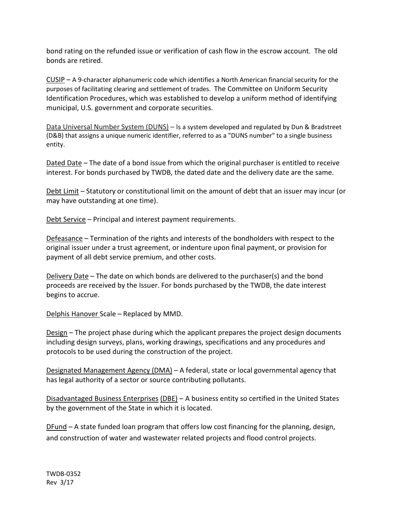bond rating on the refunded issue or verification of cash flow in the escrow account. The old bonds are retired.

CUSIP – A 9-character alphanumeric code which identifies a North American financial security for the purposes of facilitating clearing and settlement of trades. The Committee on Uniform Security Identification Procedures, which was established to develop a uniform method of identifying municipal, U.S. government and corporate securities.

Data Universal Number System (DUNS) – Is a system developed and regulated by Dun & Bradstreet (D&B) that assigns a unique numeric identifier, referred to as a "DUNS number" to a single business entity.

Dated Date – The date of a bond issue from which the original purchaser is entitled to receive interest. For bonds purchased by TWDB, the dated date and the delivery date are the same.

Debt Limit – Statutory or constitutional limit on the amount of debt that an issuer may incur (or may have outstanding at one time).

Debt Service – Principal and interest payment requirements.

Defeasance – Termination of the rights and interests of the bondholders with respect to the original issuer under a trust agreement, or indenture upon final payment, or provision for payment of all debt service premium, and other costs.

Delivery Date – The date on which bonds are delivered to the purchaser(s) and the bond proceeds are received by the Issuer. For bonds purchased by the TWDB, the date interest begins to accrue.

Delphis Hanover Scale – Replaced by MMD.

Design – The project phase during which the applicant prepares the project design documents including design surveys, plans, working drawings, specifications and any procedures and protocols to be used during the construction of the project.

Designated Management Agency (DMA) – A federal, state or local governmental agency that has legal authority of a sector or source contributing pollutants.

Disadvantaged Business Enterprises (DBE) – A business entity so certified in the United States by the government of the State in which it is located.

DFund – A state funded loan program that offers low cost financing for the planning, design, and construction of water and wastewater related projects and flood control projects.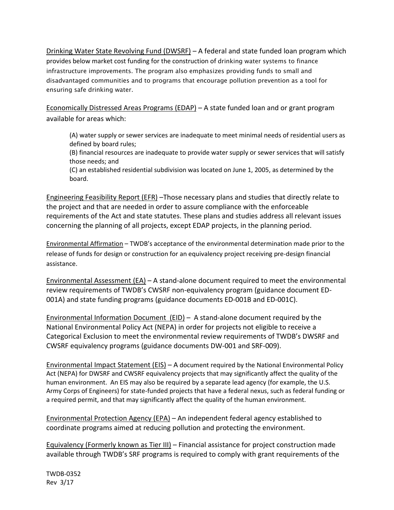Drinking Water State Revolving Fund (DWSRF) – A federal and state funded loan program which provides below market cost funding for the construction of drinking water systems to finance infrastructure improvements. The program also emphasizes providing funds to small and disadvantaged communities and to programs that encourage pollution prevention as a tool for ensuring safe drinking water.

Economically Distressed Areas Programs (EDAP) – A state funded loan and or grant program available for areas which:

(A) water supply or sewer services are inadequate to meet minimal needs of residential users as defined by board rules;

(B) financial resources are inadequate to provide water supply or sewer services that will satisfy those needs; and

(C) an established residential subdivision was located on June 1, 2005, as determined by the board.

Engineering Feasibility Report (EFR) –Those necessary plans and studies that directly relate to the project and that are needed in order to assure compliance with the enforceable requirements of the Act and state statutes. These plans and studies address all relevant issues concerning the planning of all projects, except EDAP projects, in the planning period.

Environmental Affirmation – TWDB's acceptance of the environmental determination made prior to the release of funds for design or construction for an equivalency project receiving pre-design financial assistance.

Environmental Assessment  $(EA)$  – A stand-alone document required to meet the environmental review requirements of TWDB's CWSRF non-equivalency program (guidance document ED-001A) and state funding programs (guidance documents ED-001B and ED-001C).

Environmental Information Document (EID) – A stand-alone document required by the National Environmental Policy Act (NEPA) in order for projects not eligible to receive a Categorical Exclusion to meet the environmental review requirements of TWDB's DWSRF and CWSRF equivalency programs (guidance documents DW-001 and SRF-009).

Environmental Impact Statement (EIS) – A document required by the National Environmental Policy Act (NEPA) for DWSRF and CWSRF equivalency projects that may significantly affect the quality of the human environment. An EIS may also be required by a separate lead agency (for example, the U.S. Army Corps of Engineers) for state-funded projects that have a federal nexus, such as federal funding or a required permit, and that may significantly affect the quality of the human environment.

Environmental Protection Agency (EPA) – An independent federal agency established to coordinate programs aimed at reducing pollution and protecting the environment.

Equivalency (Formerly known as Tier III) – Financial assistance for project construction made available through TWDB's SRF programs is required to comply with grant requirements of the

TWDB-0352 Rev 3/17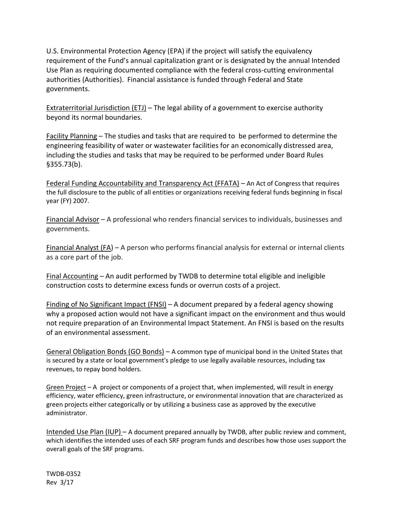U.S. Environmental Protection Agency (EPA) if the project will satisfy the equivalency requirement of the Fund's annual capitalization grant or is designated by the annual Intended Use Plan as requiring documented compliance with the federal cross-cutting environmental authorities (Authorities). Financial assistance is funded through Federal and State governments.

Extraterritorial Jurisdiction (ETJ) – The legal ability of a government to exercise authority beyond its normal boundaries.

Facility Planning – The studies and tasks that are required to be performed to determine the engineering feasibility of water or wastewater facilities for an economically distressed area, including the studies and tasks that may be required to be performed under Board Rules §355.73(b).

Federal Funding Accountability and Transparency Act (FFATA) – An Act of Congress that requires the full disclosure to the public of all entities or organizations receiving federal funds beginning in fiscal year (FY) 2007.

Financial Advisor – A professional who renders financial services to individuals, businesses and governments.

Financial Analyst (FA) – A person who performs financial analysis for external or internal clients as a core part of the job.

Final Accounting – An audit performed by TWDB to determine total eligible and ineligible construction costs to determine excess funds or overrun costs of a project.

Finding of No Significant Impact (FNSI) – A document prepared by a federal agency showing why a proposed action would not have a significant impact on the environment and thus would not require preparation of an Environmental Impact Statement. An FNSI is based on the results of an environmental assessment.

General Obligation Bonds (GO Bonds) – A common type of municipal bond in the United States that is secured by a state or local government's pledge to use legally available resources, including tax revenues, to repay bond holders.

Green Project – A project or components of a project that, when implemented, will result in energy efficiency, water efficiency, green infrastructure, or environmental innovation that are characterized as green projects either categorically or by utilizing a business case as approved by the executive administrator.

Intended Use Plan (IUP) – A document prepared annually by TWDB, after public review and comment, which identifies the intended uses of each SRF program funds and describes how those uses support the overall goals of the SRF programs.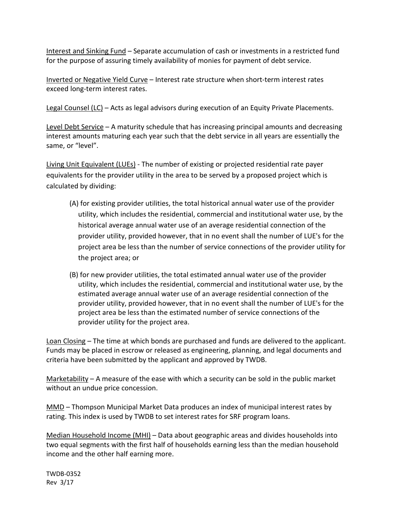Interest and Sinking Fund – Separate accumulation of cash or investments in a restricted fund for the purpose of assuring timely availability of monies for payment of debt service.

Inverted or Negative Yield Curve – Interest rate structure when short-term interest rates exceed long-term interest rates.

Legal Counsel (LC) – Acts as legal advisors during execution of an Equity Private Placements.

Level Debt Service - A maturity schedule that has increasing principal amounts and decreasing interest amounts maturing each year such that the debt service in all years are essentially the same, or "level".

Living Unit Equivalent (LUEs) - The number of existing or projected residential rate payer equivalents for the provider utility in the area to be served by a proposed project which is calculated by dividing:

- (A) for existing provider utilities, the total historical annual water use of the provider utility, which includes the residential, commercial and institutional water use, by the historical average annual water use of an average residential connection of the provider utility, provided however, that in no event shall the number of LUE's for the project area be less than the number of service connections of the provider utility for the project area; or
- (B) for new provider utilities, the total estimated annual water use of the provider utility, which includes the residential, commercial and institutional water use, by the estimated average annual water use of an average residential connection of the provider utility, provided however, that in no event shall the number of LUE's for the project area be less than the estimated number of service connections of the provider utility for the project area.

Loan Closing – The time at which bonds are purchased and funds are delivered to the applicant. Funds may be placed in escrow or released as engineering, planning, and legal documents and criteria have been submitted by the applicant and approved by TWDB.

Marketability – A measure of the ease with which a security can be sold in the public market without an undue price concession.

MMD – Thompson Municipal Market Data produces an index of municipal interest rates by rating. This index is used by TWDB to set interest rates for SRF program loans.

Median Household Income (MHI) – Data about geographic areas and divides households into two equal segments with the first half of households earning less than the median household income and the other half earning more.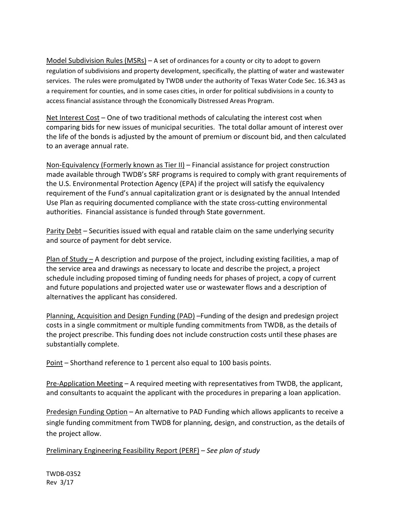Model Subdivision Rules (MSRs) – A set of ordinances for a county or city to adopt to govern regulation of subdivisions and property development, specifically, the platting of water and wastewater services. The rules were promulgated by TWDB under the authority of Texas Water Code Sec. 16.343 as a requirement for counties, and in some cases cities, in order for political subdivisions in a county to access financial assistance through the Economically Distressed Areas Program.

Net Interest Cost – One of two traditional methods of calculating the interest cost when comparing bids for new issues of municipal securities. The total dollar amount of interest over the life of the bonds is adjusted by the amount of premium or discount bid, and then calculated to an average annual rate.

Non-Equivalency (Formerly known as Tier II) – Financial assistance for project construction made available through TWDB's SRF programs is required to comply with grant requirements of the U.S. Environmental Protection Agency (EPA) if the project will satisfy the equivalency requirement of the Fund's annual capitalization grant or is designated by the annual Intended Use Plan as requiring documented compliance with the state cross-cutting environmental authorities. Financial assistance is funded through State government.

Parity Debt – Securities issued with equal and ratable claim on the same underlying security and source of payment for debt service.

Plan of Study – A description and purpose of the project, including existing facilities, a map of the service area and drawings as necessary to locate and describe the project, a project schedule including proposed timing of funding needs for phases of project, a copy of current and future populations and projected water use or wastewater flows and a description of alternatives the applicant has considered.

Planning, Acquisition and Design Funding (PAD) –Funding of the design and predesign project costs in a single commitment or multiple funding commitments from TWDB, as the details of the project prescribe. This funding does not include construction costs until these phases are substantially complete.

Point – Shorthand reference to 1 percent also equal to 100 basis points.

Pre-Application Meeting – A required meeting with representatives from TWDB, the applicant, and consultants to acquaint the applicant with the procedures in preparing a loan application.

Predesign Funding Option – An alternative to PAD Funding which allows applicants to receive a single funding commitment from TWDB for planning, design, and construction, as the details of the project allow.

Preliminary Engineering Feasibility Report (PERF) – *See plan of study*

TWDB-0352 Rev 3/17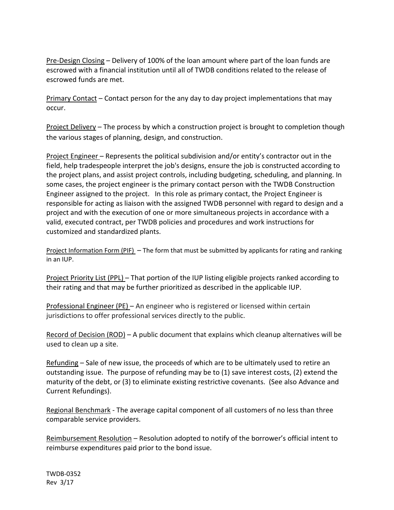Pre-Design Closing – Delivery of 100% of the loan amount where part of the loan funds are escrowed with a financial institution until all of TWDB conditions related to the release of escrowed funds are met.

**Primary Contact – Contact person for the any day to day project implementations that may** occur.

Project Delivery – The process by which a construction project is brought to completion though the various stages of planning, design, and construction.

Project Engineer – Represents the political subdivision and/or entity's contractor out in the field, help tradespeople interpret the job's designs, ensure the job is constructed according to the project plans, and assist project controls, including budgeting, scheduling, and planning. In some cases, the project engineer is the primary contact person with the TWDB Construction Engineer assigned to the project. In this role as primary contact, the Project Engineer is responsible for acting as liaison with the assigned TWDB personnel with regard to design and a project and with the execution of one or more simultaneous projects in accordance with a valid, executed contract, per TWDB policies and procedures and work instructions for customized and standardized plants.

Project Information Form (PIF) – The form that must be submitted by applicants for rating and ranking in an IUP.

Project Priority List (PPL) – That portion of the IUP listing eligible projects ranked according to their rating and that may be further prioritized as described in the applicable IUP.

Professional Engineer (PE) – An engineer who is registered or licensed within certain jurisdictions to offer professional services directly to the public.

Record of Decision (ROD) – A public document that explains which cleanup alternatives will be used to clean up a site.

Refunding – Sale of new issue, the proceeds of which are to be ultimately used to retire an outstanding issue. The purpose of refunding may be to (1) save interest costs, (2) extend the maturity of the debt, or (3) to eliminate existing restrictive covenants. (See also Advance and Current Refundings).

Regional Benchmark - The average capital component of all customers of no less than three comparable service providers.

Reimbursement Resolution – Resolution adopted to notify of the borrower's official intent to reimburse expenditures paid prior to the bond issue.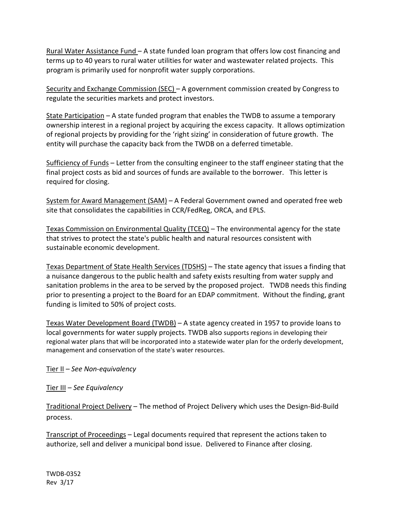Rural Water Assistance Fund – A state funded loan program that offers low cost financing and terms up to 40 years to rural water utilities for water and wastewater related projects. This program is primarily used for nonprofit water supply corporations.

Security and Exchange Commission (SEC) – A government commission created by Congress to regulate the [securities](http://www.investopedia.com/terms/s/sec.asp) markets and protect investors.

State Participation – A state funded program that enables the TWDB to assume a temporary ownership interest in a regional project by acquiring the excess capacity. It allows optimization of regional projects by providing for the 'right sizing' in consideration of future growth. The entity will purchase the capacity back from the TWDB on a deferred timetable.

Sufficiency of Funds – Letter from the consulting engineer to the staff engineer stating that the final project costs as bid and sources of funds are available to the borrower. This letter is required for closing.

System for Award Management (SAM) – A Federal Government owned and operated free web site that consolidates the capabilities in CCR/FedReg, ORCA, and EPLS.

Texas Commission on Environmental Quality (TCEQ) – The environmental agency for the state that strives to protect the state's public health and natural resources consistent with sustainable economic development.

Texas Department of State Health Services (TDSHS) – The state agency that issues a finding that a nuisance dangerous to the public health and safety exists resulting from water supply and sanitation problems in the area to be served by the proposed project. TWDB needs this finding prior to presenting a project to the Board for an EDAP commitment. Without the finding, grant funding is limited to 50% of project costs.

Texas Water Development Board (TWDB) – A state agency created in 1957 to provide loans to local governments for water supply projects. TWDB also supports regions in developing their regional water plans that will be incorporated into a statewide water plan for the orderly development, management and conservation of the state's water resources.

Tier II – *See Non-equivalency*

Tier III – *See Equivalency*

Traditional Project Delivery – The method of Project Delivery which uses the Design-Bid-Build process.

Transcript of Proceedings – Legal documents required that represent the actions taken to authorize, sell and deliver a municipal bond issue. Delivered to Finance after closing.